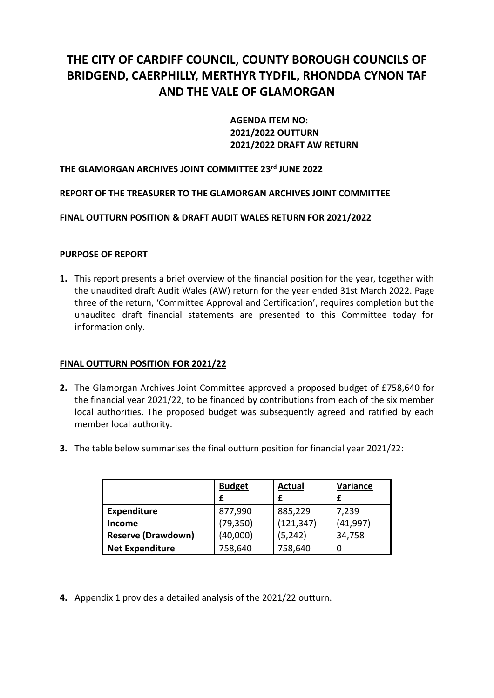# **THE CITY OF CARDIFF COUNCIL, COUNTY BOROUGH COUNCILS OF BRIDGEND, CAERPHILLY, MERTHYR TYDFIL, RHONDDA CYNON TAF AND THE VALE OF GLAMORGAN**

**AGENDA ITEM NO: 2021/2022 OUTTURN 2021/2022 DRAFT AW RETURN**

# **THE GLAMORGAN ARCHIVES JOINT COMMITTEE 23 rd JUNE 2022**

# **REPORT OF THE TREASURER TO THE GLAMORGAN ARCHIVES JOINT COMMITTEE**

# **FINAL OUTTURN POSITION & DRAFT AUDIT WALES RETURN FOR 2021/2022**

### **PURPOSE OF REPORT**

**1.** This report presents a brief overview of the financial position for the year, together with the unaudited draft Audit Wales (AW) return for the year ended 31st March 2022. Page three of the return, 'Committee Approval and Certification', requires completion but the unaudited draft financial statements are presented to this Committee today for information only.

### **FINAL OUTTURN POSITION FOR 2021/22**

- **2.** The Glamorgan Archives Joint Committee approved a proposed budget of £758,640 for the financial year 2021/22, to be financed by contributions from each of the six member local authorities. The proposed budget was subsequently agreed and ratified by each member local authority.
- **3.** The table below summarises the final outturn position for financial year 2021/22:

|                           | <b>Budget</b><br>f | <b>Actual</b> | Variance  |
|---------------------------|--------------------|---------------|-----------|
| Expenditure               | 877,990            | 885,229       | 7,239     |
| Income                    | (79, 350)          | (121, 347)    | (41, 997) |
| <b>Reserve (Drawdown)</b> | (40,000)           | (5, 242)      | 34,758    |
| <b>Net Expenditure</b>    | 758,640            | 758,640       |           |

**4.** Appendix 1 provides a detailed analysis of the 2021/22 outturn.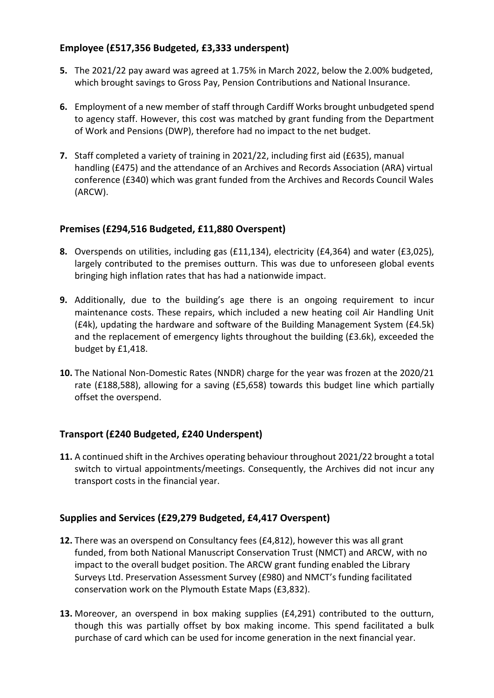# **Employee (£517,356 Budgeted, £3,333 underspent)**

- **5.** The 2021/22 pay award was agreed at 1.75% in March 2022, below the 2.00% budgeted, which brought savings to Gross Pay, Pension Contributions and National Insurance.
- **6.** Employment of a new member of staff through Cardiff Works brought unbudgeted spend to agency staff. However, this cost was matched by grant funding from the Department of Work and Pensions (DWP), therefore had no impact to the net budget.
- **7.** Staff completed a variety of training in 2021/22, including first aid (£635), manual handling (£475) and the attendance of an Archives and Records Association (ARA) virtual conference (£340) which was grant funded from the Archives and Records Council Wales (ARCW).

# **Premises (£294,516 Budgeted, £11,880 Overspent)**

- **8.** Overspends on utilities, including gas (£11,134), electricity (£4,364) and water (£3,025), largely contributed to the premises outturn. This was due to unforeseen global events bringing high inflation rates that has had a nationwide impact.
- **9.** Additionally, due to the building's age there is an ongoing requirement to incur maintenance costs. These repairs, which included a new heating coil Air Handling Unit (£4k), updating the hardware and software of the Building Management System (£4.5k) and the replacement of emergency lights throughout the building (£3.6k), exceeded the budget by £1,418.
- **10.** The National Non-Domestic Rates (NNDR) charge for the year was frozen at the 2020/21 rate (£188,588), allowing for a saving (£5,658) towards this budget line which partially offset the overspend.

# **Transport (£240 Budgeted, £240 Underspent)**

**11.** A continued shift in the Archives operating behaviour throughout 2021/22 brought a total switch to virtual appointments/meetings. Consequently, the Archives did not incur any transport costs in the financial year.

# **Supplies and Services (£29,279 Budgeted, £4,417 Overspent)**

- **12.** There was an overspend on Consultancy fees (£4,812), however this was all grant funded, from both National Manuscript Conservation Trust (NMCT) and ARCW, with no impact to the overall budget position. The ARCW grant funding enabled the Library Surveys Ltd. Preservation Assessment Survey (£980) and NMCT's funding facilitated conservation work on the Plymouth Estate Maps (£3,832).
- **13.** Moreover, an overspend in box making supplies (£4,291) contributed to the outturn, though this was partially offset by box making income. This spend facilitated a bulk purchase of card which can be used for income generation in the next financial year.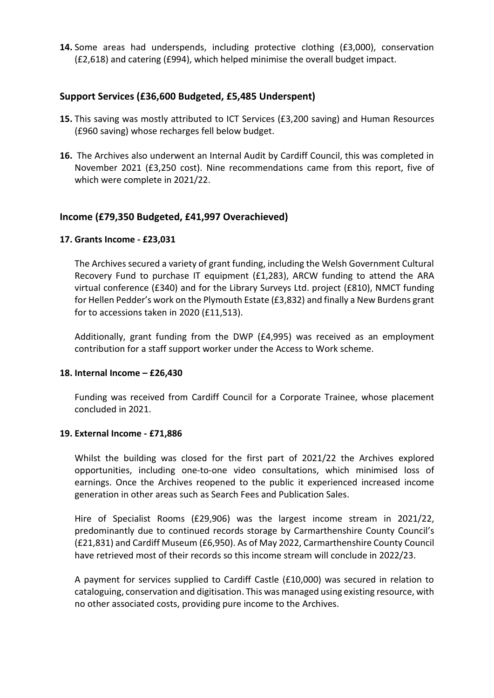**14.** Some areas had underspends, including protective clothing (£3,000), conservation (£2,618) and catering (£994), which helped minimise the overall budget impact.

# **Support Services (£36,600 Budgeted, £5,485 Underspent)**

- **15.** This saving was mostly attributed to ICT Services (£3,200 saving) and Human Resources (£960 saving) whose recharges fell below budget.
- **16.** The Archives also underwent an Internal Audit by Cardiff Council, this was completed in November 2021 (£3,250 cost). Nine recommendations came from this report, five of which were complete in 2021/22.

# **Income (£79,350 Budgeted, £41,997 Overachieved)**

#### **17. Grants Income - £23,031**

The Archives secured a variety of grant funding, including the Welsh Government Cultural Recovery Fund to purchase IT equipment (£1,283), ARCW funding to attend the ARA virtual conference (£340) and for the Library Surveys Ltd. project (£810), NMCT funding for Hellen Pedder's work on the Plymouth Estate (£3,832) and finally a New Burdens grant for to accessions taken in 2020 (£11,513).

Additionally, grant funding from the DWP (£4,995) was received as an employment contribution for a staff support worker under the Access to Work scheme.

### **18. Internal Income – £26,430**

Funding was received from Cardiff Council for a Corporate Trainee, whose placement concluded in 2021.

# **19. External Income - £71,886**

Whilst the building was closed for the first part of 2021/22 the Archives explored opportunities, including one-to-one video consultations, which minimised loss of earnings. Once the Archives reopened to the public it experienced increased income generation in other areas such as Search Fees and Publication Sales.

Hire of Specialist Rooms (£29,906) was the largest income stream in 2021/22, predominantly due to continued records storage by Carmarthenshire County Council's (£21,831) and Cardiff Museum (£6,950). As of May 2022, Carmarthenshire County Council have retrieved most of their records so this income stream will conclude in 2022/23.

A payment for services supplied to Cardiff Castle (£10,000) was secured in relation to cataloguing, conservation and digitisation. This was managed using existing resource, with no other associated costs, providing pure income to the Archives.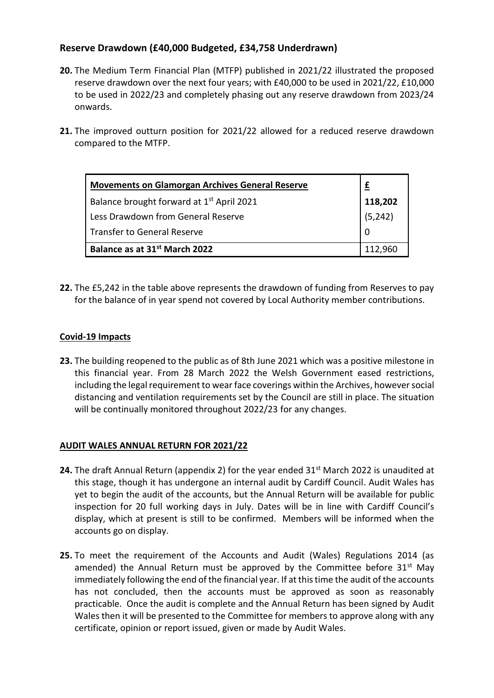# **Reserve Drawdown (£40,000 Budgeted, £34,758 Underdrawn)**

- **20.** The Medium Term Financial Plan (MTFP) published in 2021/22 illustrated the proposed reserve drawdown over the next four years; with £40,000 to be used in 2021/22, £10,000 to be used in 2022/23 and completely phasing out any reserve drawdown from 2023/24 onwards.
- **21.** The improved outturn position for 2021/22 allowed for a reduced reserve drawdown compared to the MTFP.

| <b>Movements on Glamorgan Archives General Reserve</b> |                           |  |
|--------------------------------------------------------|---------------------------|--|
| Balance brought forward at 1 <sup>st</sup> April 2021  |                           |  |
| Less Drawdown from General Reserve                     | <b>118,202</b><br>(5,242) |  |
| <b>Transfer to General Reserve</b>                     |                           |  |
| Balance as at 31 <sup>st</sup> March 2022              |                           |  |

**22.** The £5,242 in the table above represents the drawdown of funding from Reserves to pay for the balance of in year spend not covered by Local Authority member contributions.

# **Covid-19 Impacts**

**23.** The building reopened to the public as of 8th June 2021 which was a positive milestone in this financial year. From 28 March 2022 the Welsh Government eased restrictions, including the legal requirement to wear face coverings within the Archives, however social distancing and ventilation requirements set by the Council are still in place. The situation will be continually monitored throughout 2022/23 for any changes.

# **AUDIT WALES ANNUAL RETURN FOR 2021/22**

- 24. The draft Annual Return (appendix 2) for the year ended 31<sup>st</sup> March 2022 is unaudited at this stage, though it has undergone an internal audit by Cardiff Council. Audit Wales has yet to begin the audit of the accounts, but the Annual Return will be available for public inspection for 20 full working days in July. Dates will be in line with Cardiff Council's display, which at present is still to be confirmed. Members will be informed when the accounts go on display.
- **25.** To meet the requirement of the Accounts and Audit (Wales) Regulations 2014 (as amended) the Annual Return must be approved by the Committee before  $31<sup>st</sup>$  Mav immediately following the end of the financial year. If at this time the audit of the accounts has not concluded, then the accounts must be approved as soon as reasonably practicable. Once the audit is complete and the Annual Return has been signed by Audit Wales then it will be presented to the Committee for members to approve along with any certificate, opinion or report issued, given or made by Audit Wales.